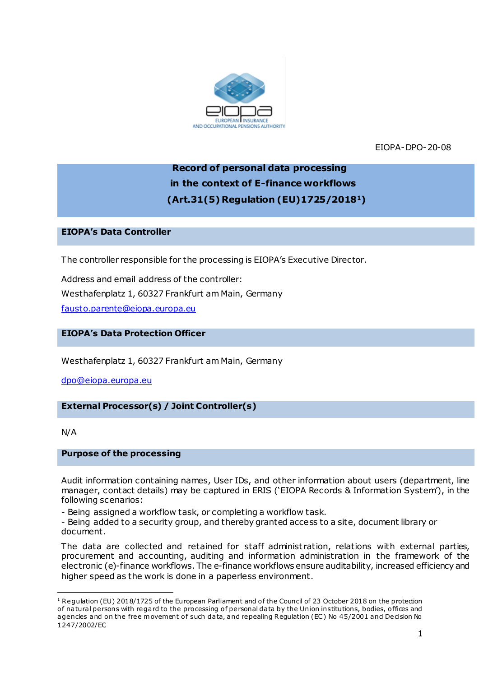

EIOPA-DPO-20-08

# **Record of personal data processing in the context of E-finance workflows (Art.31(5) Regulation (EU)1725/20181)**

# **EIOPA's Data Controller**

The controller responsible for the processing is EIOPA's Executive Director.

Address and email address of the controller: Westhafenplatz 1, 60327 Frankfurt am Main, Germany [fausto.parente@eiopa.europa.eu](mailto:fausto.parente@eiopa.europa.eu)

# **EIOPA's Data Protection Officer**

Westhafenplatz 1, 60327 Frankfurt am Main, Germany

[dpo@eiopa.europa.eu](mailto:dpo@eiopa.europa.eu)

# **External Processor(s) / Joint Controller(s)**

#### N/A

.

#### **Purpose of the processing**

Audit information containing names, User IDs, and other information about users (department, line manager, contact details) may be captured in ERIS ('EIOPA Records & Information System'), in the following scenarios:

- Being assigned a workflow task, or completing a workflow task.

- Being added to a security group, and thereby granted access to a site, document library or document.

The data are collected and retained for staff administ ration, relations with external parties, procurement and accounting, auditing and information administration in the framework of the electronic (e)-finance workflows. The e-finance workflows ensure auditability, increased efficiency and higher speed as the work is done in a paperless environment.

 $1$  Regulation (EU) 2018/1725 of the European Parliament and of the Council of 23 October 2018 on the protection of natural persons with regard to the processing of personal data by the Union institutions, bodies, offices and agencies and on the free movement of such data, and repealing Regulation (EC) No 45/2001 and Decision No 1247/2002/EC